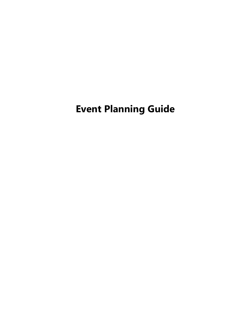# **Event Planning Guide**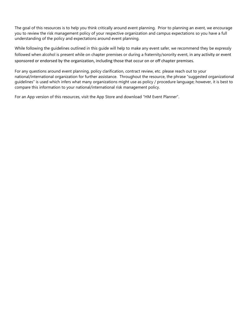The goal of this resources is to help you think critically around event planning. Prior to planning an event, we encourage you to review the risk management policy of your respective organization and campus expectations so you have a full understanding of the policy and expectations around event planning.

While following the guidelines outlined in this guide will help to make any event safer, we recommend they be expressly followed when alcohol is present while on chapter premises or during a fraternity/sorority event, in any activity or event sponsored or endorsed by the organization, including those that occur on or off chapter premises.

For any questions around event planning, policy clarification, contract review, etc. please reach out to your national/international organization for further assistance. Throughout the resource, the phrase "suggested organizational guidelines" is used which infers what many organizations might use as policy / procedure language; however, it is best to compare this information to your national/international risk management policy.

For an App version of this resources, visit the App Store and download "HM Event Planner".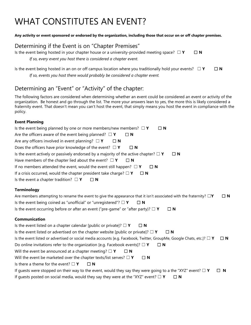# WHAT CONSTITUTES AN EVENT?

#### **Any activity or event sponsored or endorsed by the organization, including those that occur on or off chapter premises.**

### Determining if the Event is on "Chapter Premises"

Is the event being hosted in your chapter house or a university-provided meeting space? □ **Y** □ **N** *If so, every event you host there is considered a chapter event.*

Is the event being hosted in an on or off campus location where you traditionally hold your events? ☐ **Y** ☐ **N** *If so, events you host there would probably be considered a chapter event.*

## Determining an "Event" or "Activity" of the chapter:

The following factors are considered when determining whether an event could be considered an event or activity of the organization. Be honest and go through the list. The more your answers lean to yes, the more this is likely considered a fraternity event. That doesn't mean you can't host the event, that simply means you host the event in compliance with the policy.

### **Event Planning**

Is the event listed or advertised or social media accounts [e.g. Facebook, Twitter, GroupMe, Google Chats, etc.]? ☐ **Y** ☐ **N**

Do online invitations refer to the organization [e.g. Facebook events]? ☐ **Y** ☐ **N**

Will the event be announced at a chapter meeting? □ **Y** □ N

Will the event be marketed over the chapter texts/list serves? □ **Y** □ N

Is there a theme for the event? ☐ **Y** ☐ **N**

| If guests were stopped on their way to the event, would they say they were going to a the "XYZ" event? $\Box$ Y | $\Box$ N |
|-----------------------------------------------------------------------------------------------------------------|----------|
| If quests posted on social media, would they say they were at the "XYZ" event? $\Box$ Y                         |          |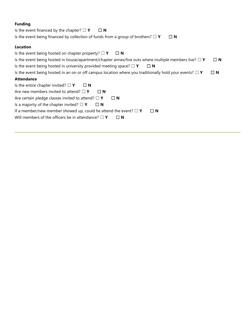### **Funding**

Is the event financed by the chapter? ☐ **Y** ☐ **N** Is the event being financed by collection of funds from a group of brothers? ☐ **Y** ☐ **N**

### **Location**

| Is the event being hosted on chapter property? $\Box$ Y<br>$\Box$ N                                          |             |
|--------------------------------------------------------------------------------------------------------------|-------------|
| Is the event being hosted in house/apartment/chapter annex/live outs where multiple members live? $\Box$ Y   | $\square$ N |
| Is the event being hosted in university provided meeting space? $\Box$ Y<br>$\Box$ N                         |             |
| Is the event being hosted in an on or off campus location where you traditionally hold your events? $\Box$ Y | $\Box$ N    |
| <b>Attendance</b>                                                                                            |             |
| Is the entire chapter invited? $\Box$ Y<br>$\Box$ N                                                          |             |
| Are new members invited to attend? $\Box$ Y<br>$\Box$ N                                                      |             |
| Are certain pledge classes invited to attend? $\Box$ Y<br>$\Box$ N                                           |             |
| Is a majority of the chapter invited? $\square$ Y<br>$\Box$ N                                                |             |
| If a member/new member showed up, could he attend the event? $\Box$ Y<br>$\Box$ N                            |             |
| Will members of the officers be in attendance? $\square$ Y<br>$\sqcap$ N                                     |             |
|                                                                                                              |             |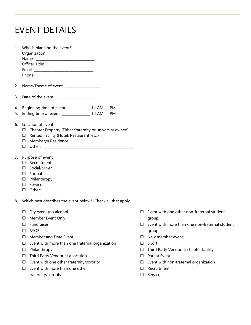## EVENT DETAILS

| Chapter Property (Either fraternity or university owned)<br>Rented Facility (Hotel, Restaurant, etc.)<br>Member(s) Residence<br>Other: and the contract of the contract of the contract of the contract of the contract of the contract of the contract of the contract of the contract of the contract of the contract of the contract of the contract of the |                                                                                                                                                                                                                                                                                                                                                                                          |
|----------------------------------------------------------------------------------------------------------------------------------------------------------------------------------------------------------------------------------------------------------------------------------------------------------------------------------------------------------------|------------------------------------------------------------------------------------------------------------------------------------------------------------------------------------------------------------------------------------------------------------------------------------------------------------------------------------------------------------------------------------------|
| Recruitment<br>Social/Mixer<br>Other: when the contract of the contract of the contract of the contract of the contract of the contract of the contract of the contract of the contract of the contract of the contract of the contract of the contract of th                                                                                                  |                                                                                                                                                                                                                                                                                                                                                                                          |
|                                                                                                                                                                                                                                                                                                                                                                |                                                                                                                                                                                                                                                                                                                                                                                          |
| Dry event (no alcohol<br>Member Event Only<br>Fundraiser<br><b>BYOB</b><br>Member and Date Event<br>Event with more than one fraternal organization<br>Philanthropy                                                                                                                                                                                            |                                                                                                                                                                                                                                                                                                                                                                                          |
|                                                                                                                                                                                                                                                                                                                                                                | Beginning time of event: ____________ □ AM □ PM<br>Ending time of event: _______________ □ AM □ PM<br>Location of event:<br>□<br>□<br>□<br>$\Box$<br>Purpose of event:<br>П<br>П<br>$\square$ Formal<br>D Philanthropy<br>□ Service<br>$\Box$<br>Which best describes the event below? Check all that apply.<br>□<br>□<br>п<br>П<br>П<br>П<br>□<br>Third Party Vendor at a location<br>□ |

- $\Box$  Event with one other fraternity/sorority
- $\square$  Event with more than one other fraternity/sorority
- $\square$  Event with one other non-fraternal student group
- $\square$  Event with more than one non-fraternal student group
- □ New member event
- $\square$  Sport
- □ Third Party Vendor at chapter facility
- □ Parent Event
- $\square$  Event with non-fraternal organization
- □ Recruitment
- □ Service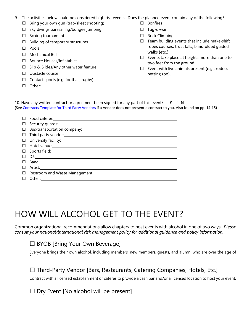| 9. The activities below could be considered high risk events. Does the planned event contain any of the following? |  |
|--------------------------------------------------------------------------------------------------------------------|--|
|                                                                                                                    |  |

- $\Box$  Bring your own gun (trap/skeet shooting)
- $\Box$  Sky diving/ parasailing/bungee jumping
- $\square$  Boxing tournament
- $\Box$  Building of temporary structures
- □ Pools
- $\Box$  Mechanical Bulls
- □ Bounce Houses/Inflatables
- $\Box$  Slip & Slides/Any other water feature
- □ Obstacle course
- $\Box$  Contact sports (e.g. football, rugby)
- □ Other:
- □ Bonfires
- □ Tug-o-war
- □ Rock Climbing
- $\Box$  Team building events that include make-shift ropes courses, trust falls, blindfolded guided walks (etc.)
- $\Box$  Events take place at heights more than one to two feet from the ground
- $\square$  Event with live animals present (e.g., rodeo, petting zoo).

10. Have any written contract or agreement been signed for any part of this event? ☐ **Y** ☐ **N** (See [Contracts Template for](https://www.holmesmurphy.com/fraternal/wp-content/uploads/sites/2/2019/06/CONTRACT-TEMPLATE-FOR-HIRING-THIRD-PARTY-VENDORS_branded.pdf) Third Party Vendors if a Vendor does not present a contract to you. Also found on pp. 14-15)

|        | $\Box$ Sports field: |
|--------|----------------------|
|        | $\Box$ DJ:           |
|        |                      |
| $\Box$ |                      |
|        |                      |
|        | $\Box$ Other:        |

# HOW WILL ALCOHOL GET TO THE EVENT?

Common organizational recommendations allow chapters to host events with alcohol in one of two ways. *Please consult your national/international risk management policy for additional guidance and policy information.* 

### □ BYOB [Bring Your Own Beverage]

Everyone brings their own alcohol, including members, new members, guests, and alumni who are over the age of 21

☐ Third-Party Vendor [Bars, Restaurants, Catering Companies, Hotels, Etc.]

Contract with a licensed establishment or caterer to provide a cash bar and/or a licensed location to host your event.

 $\Box$  Dry Event [No alcohol will be present]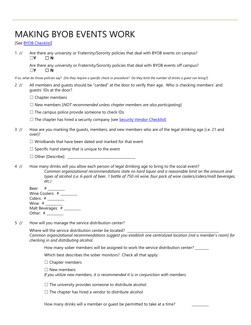# MAKING BYOB EVENTS WORK

[See [BYOB Checklist](https://www.holmesmurphy.com/fraternal/wp-content/uploads/sites/2/2020/12/BYOB-Checklist-2020.pdf)]

1 // Are there any university or Fraternity/Sorority policies that deal with BYOB events on campus? ☐**Y** ☐ **N**

Are there any university or Fraternity/Sorority policies that deal with BYOB events off campus? ☐**Y** ☐ **N**

If so, what do those policies say? *[Do they require a specific check-in procedure? Do they limit the number of drinks a guest can bring?]*

- 2 // All members and guests should be "carded" at the door to verify their age. Who is checking members' and guests' IDs at the door?
	- $\Box$  Chapter members
	- ☐ New members [*NOT recommended unless chapter members are also participating*]
	- $\Box$  The campus police provide someone to check IDs
	- $\Box$  The chapter has hired a security company [see [Security Vendor Checklist\]](http://www.holmesmurphy.com/fraternal/wp-content/uploads/sites/2/2017/08/Security-Vendor-Checklist.pdf)
- 3 // How are you marking the guests, members, and new members who are of the legal drinking age [i.e. 21 and over]?
	- $\Box$  Wristbands that have been dated and marked for that event
	- $\Box$  Specific hand stamp that is unique to the event
	- $\Box$  Other [Describe]:
- 4 // How many drinks will you allow each person of legal drinking age to bring to the social event? *Common organizational recommendations state no hard liquor and a reasonable limit on the amount and types of alcohol (i.e. 6-pack of beer, 1 bottle of 750 ml wine, four pack of wine coolers/ciders/malt beverages, etc.)*

| Beer: #           |  |
|-------------------|--|
| Wine Coolers: #   |  |
| Ciders: #         |  |
| Wine: #           |  |
| Malt Beverages: # |  |
| Other: #          |  |
|                   |  |

5 // How will you manage the service distribution center?

Where will the service distribution center be located? *Common organizational recommendations suggest you establish one centralized location [not a member's room] for checking in and distributing alcohol.*

How many sober members will be assigned to work the service distribution center? \_\_\_\_\_\_

Which best describes the sober monitors? Check all that apply:

□ Chapter members

☐ New members

*If you utilize new members, it is recommended it is in conjunction with members.*

 $\Box$  The university provides someone to distribute alcohol

 $\Box$  The chapter has hired a vendor to distribute alcohol

How many drinks will a member or quest be permitted to take at a time?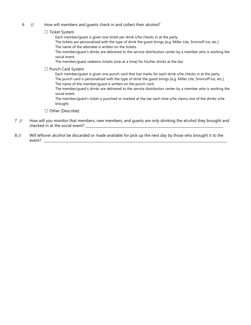- 6 // How will members and quests check in and collect their alcohol?
	- ☐ Ticket System
		- Each member/guest is given one ticket per drink s/he checks in at the party.
		- The tickets are personalized with the type of drink the guest brings [e.g. Miller Lite, Smirnoff Ice, etc.]. The name of the attendee is written on the tickets.
		- The member/guest's drinks are delivered to the service distribution center by a member who is working the social event.
		- The member/guest redeems tickets [one at a time] for his/her drinks at the bar.
	- ☐ Punch Card System
		- Each member/guest is given one punch card that has marks for each drink s/he checks in at the party. The punch card is personalized with the type of drink the guest brings [e.g. Miller Lite, Smirnoff Ice, etc.]. The name of the member/guest is written on the punch card.
		- The member/guest's drinks are delivered to the service distribution center by a member who is working the social event.
		- The member/guest's ticket is punched or marked at the bar each time s/he claims one of the drinks s/he brought.

☐ Other [Describe}:

- 7 // How will you monitor that members, new members, and guests are only drinking the alcohol they brought and checked in at the social event? \_\_\_\_\_\_\_\_\_\_\_\_\_\_\_\_\_\_\_\_\_\_\_\_\_\_\_\_\_\_\_\_\_\_\_\_\_\_\_\_\_\_\_\_\_\_\_\_\_\_\_\_\_\_\_\_\_\_\_\_\_\_\_\_\_\_\_\_\_\_\_\_\_\_\_\_\_\_\_\_\_
- 8 // Will leftover alcohol be discarded or made available for pick up the next day by those who brought it to the event?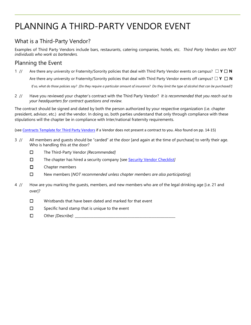# PLANNING A THIRD-PARTY VENDOR EVENT

## What is a Third-Party Vendor?

Examples of Third Party Vendors include bars, restaurants, catering companies, hotels, etc. *Third Party Vendors are NOT individuals who work as bartenders.* 

## Planning the Event

1 // Are there any university or Fraternity/Sorority policies that deal with Third Party Vendor events on campus? ☐ **Y** ☐ **N** 

Are there any university or Fraternity/Sorority policies that deal with Third Party Vendor events off campus? □ Y □ **N** 

*If so, what do those policies say? [Do they require a particular amount of insurance? Do they limit the type of alcohol that can be purchased?]*

2 // Have you reviewed your chapter's contract with the Third Party Vendor? *It is recommended that you reach out to your headquarters for contract questions and review.* 

The contract should be signed and dated by both the person authorized by your respective organization (i.e. chapter president, advisor, etc.) and the vendor. In doing so, both parties understand that only through compliance with these stipulations will the chapter be in compliance with Inter/national fraternity requirements.

(see [Contracts Template for Third Party Vendors](https://www.holmesmurphy.com/fraternal/wp-content/uploads/sites/2/2019/06/CONTRACT-TEMPLATE-FOR-HIRING-THIRD-PARTY-VENDORS_branded.pdf) if a Vendor does not present a contract to you. Also found on pp. 14-15)

- 3 // All members and guests should be "carded" at the door [and again at the time of purchase] to verify their age. Who is handling this at the door?
	- ☐ The Third-Party Vendor *[Recommended]*
	- ☐ The chapter has hired a security company [see [Security Vendor Checklist](http://www.holmesmurphy.com/fraternal/wp-content/uploads/sites/2/2017/08/Security-Vendor-Checklist.pdf)*]*
	- ☐ Chapter members
	- ☐ New members [*NOT recommended unless chapter members are also participating*]
- 4 // How are you marking the guests, members, and new members who are of the legal drinking age [i.e. 21 and over]?
	- ☐ Wristbands that have been dated and marked for that event
	- $\square$  Specific hand stamp that is unique to the event
	- □ Other *[Describe]*: <u>\_\_\_\_\_\_\_\_\_\_</u>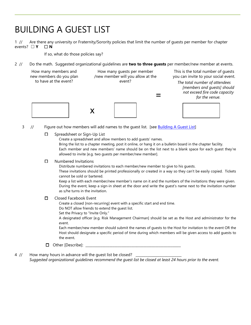## BUILDING A GUEST LIST

1 // Are there any university or Fraternity/Sorority policies that limit the number of guests per member for chapter events? ☐ **Y** ☐ **N**

If so, what do those policies say?

2 // Do the math. Suggested organizational guidelines are **two to three guests** per member/new member at events.

| How many members and<br>new members do you plan | How many quests per member<br>/new member will you allow at the | This is the total number of quests<br>you can invite to your social event.                                      |
|-------------------------------------------------|-----------------------------------------------------------------|-----------------------------------------------------------------------------------------------------------------|
| to have at the event?                           | event?                                                          | The total number of attendees<br>[members and guests] should<br>not exceed fire code capacity<br>for the venue. |
|                                                 |                                                                 |                                                                                                                 |

3 // Figure out how members will add names to the guest list. [se[e Building A](https://www.holmesmurphy.com/fraternal/wp-content/uploads/sites/2/2021/01/HMABuilding-a-Guest-List.pdf) Guest List]

☐ Spreadsheet or Sign-Up List

Create a spreadsheet and allow members to add guests' names.

Bring the list to a chapter meeting, post it online, or hang it on a bulletin board in the chapter facility. Each member and new members' name should be on the list next to a blank space for each guest they're allowed to invite [e.g. two guests per member/new member].

#### ☐ Numbered Invitations

Distribute numbered invitations to each member/new member to give to his guests.

These invitations should be printed professionally or created in a way so they can't be easily copied. Tickets cannot be sold or bartered.

Keep a list with each member/new member's name on it and the numbers of the invitations they were given. During the event, keep a sign-in sheet at the door and write the guest's name next to the invitation number as s/he turns in the invitation.

#### ☐ Closed Facebook Event

Create a closed [non-recurring] event with a specific start and end time.

Do NOT allow friends to extend the guest list.

Set the Privacy to "Invite Only."

A designated officer [e.g. Risk Management Chairman] should be set as the Host and administrator for the event.

Each member/new member should submit the names of guests to the Host for invitation to the event OR the Host should designate a specific period of time during which members will be given access to add guests to the event.

- $\Box$  Other [Describe]:
- 4 // How many hours in advance will the quest list be closed? *Suggested organizational guidelines recommend the guest list be closed at least 24 hours prior to the event.*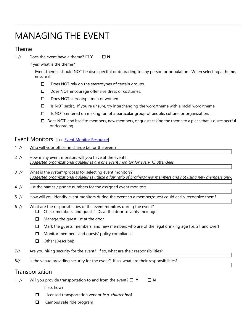## MANAGING THE EVENT

### Theme

1 // Does the event have a theme? □ **Y** □ N

If yes, what is the theme?

Event themes should NOT be disrespectful or degrading to any person or population. When selecting a theme, ensure it:

- ☐ Does NOT rely on the stereotypes of certain groups.
- ☐ Does NOT encourage offensive dress or costumes.
- ☐ Does NOT stereotype men or women.
- ☐ Is NOT sexist. If you're unsure, try interchanging the word/theme with a racial word/theme.
- ☐ Is NOT centered on making fun of a particular group of people, culture, or organization.
- $\Box$  Does NOT lend itself to members, new members, or quests taking the theme to a place that is disrespectful or degrading.

## Event Monitors [see [Event Monitor Resource\]](http://www.holmesmurphy.com/fraternal/wp-content/uploads/sites/2/2019/10/HMA_EVENT_MONITOR2019.pdf)

| $1$ //         | Who will your officer in charge be for the event?                                                                                                                                                                                                                                                                                                                                |  |  |
|----------------|----------------------------------------------------------------------------------------------------------------------------------------------------------------------------------------------------------------------------------------------------------------------------------------------------------------------------------------------------------------------------------|--|--|
| 2 / 1          | How many event monitors will you have at the event?<br>Suggested organizational guidelines are one event monitor for every 15 attendees.                                                                                                                                                                                                                                         |  |  |
| $3$ //         | What is the system/process for selecting event monitors?<br>Suggested organizational guidelines utilize a fair ratio of brothers/new members and not using new members only.                                                                                                                                                                                                     |  |  |
| $4$ //         | List the names / phone numbers for the assigned event monitors.                                                                                                                                                                                                                                                                                                                  |  |  |
| $5$ //         | How will you identify event monitors during the event so a member/quest could easily recognize them?                                                                                                                                                                                                                                                                             |  |  |
| $6$ //         | What are the responsibilities of the event monitors during the event?<br>Check members' and guests' IDs at the door to verify their age<br>п<br>Manage the guest list at the door<br>□<br>Mark the guests, members, and new members who are of the legal drinking age [i.e. 21 and over]<br>□<br>Monitor members' and guests' policy compliance<br>□<br>Other [Describe]: _<br>□ |  |  |
| 7/             | Are you hiring security for the event? If so, what are their responsibilities?                                                                                                                                                                                                                                                                                                   |  |  |
| 8/             | Is the venue providing security for the event? If so, what are their responsibilities?                                                                                                                                                                                                                                                                                           |  |  |
|                | Transportation                                                                                                                                                                                                                                                                                                                                                                   |  |  |
| $1 / \sqrt{2}$ | Will you provide transportation to and from the event? $\Box$ Y<br>$\Box$ N                                                                                                                                                                                                                                                                                                      |  |  |

If so, how?

- ☐ Licensed transportation vendor *[e.g. charter bus]*
- □ Campus safe ride program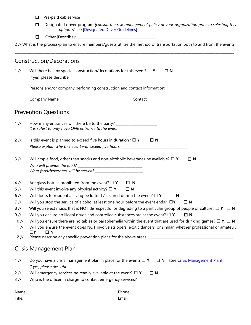- ☐ Pre-paid cab service
- ☐ Designated driver program *[consult the risk management policy of your organization prior to selecting this option //* see [\[Designated Driver Guidelines\]](https://www.holmesmurphy.com/fraternal/wp-content/uploads/sites/2/2020/12/DesignatedDriverPrograms2020.pdf)
- ☐ Other [Describe]: \_\_\_\_\_\_\_\_\_\_\_\_\_\_\_\_\_\_\_\_\_\_\_\_\_\_\_\_\_\_\_\_\_\_\_\_\_\_\_\_\_\_\_\_\_\_

2 // What is the process/plan to ensure members/guests utilize the method of transportation both to and from the event? \_\_\_\_\_\_\_\_\_\_\_\_\_\_\_\_\_\_\_\_\_\_\_\_\_\_\_\_\_\_\_\_\_\_\_\_\_\_\_\_\_\_\_\_\_\_\_\_\_\_\_\_\_\_\_\_\_\_\_\_\_\_\_\_\_\_\_\_\_\_\_\_\_\_\_\_\_\_\_\_\_\_\_\_\_\_\_\_\_\_\_\_\_\_\_\_\_\_\_\_\_\_\_\_\_\_\_\_\_\_\_\_\_\_\_\_\_\_\_\_\_\_\_\_\_\_\_\_\_

|                                              | Construction/Decorations                                                                                                                                                                                                                                                                                                                                                                                                                                                                                                                                                               |
|----------------------------------------------|----------------------------------------------------------------------------------------------------------------------------------------------------------------------------------------------------------------------------------------------------------------------------------------------------------------------------------------------------------------------------------------------------------------------------------------------------------------------------------------------------------------------------------------------------------------------------------------|
| 1/                                           | Will there be any special construction/decorations for this event? $\Box$ Y<br>$\Box$ N                                                                                                                                                                                                                                                                                                                                                                                                                                                                                                |
|                                              | Persons and/or company performing construction and contact information:                                                                                                                                                                                                                                                                                                                                                                                                                                                                                                                |
|                                              |                                                                                                                                                                                                                                                                                                                                                                                                                                                                                                                                                                                        |
|                                              | <b>Prevention Questions</b>                                                                                                                                                                                                                                                                                                                                                                                                                                                                                                                                                            |
| $1$ //                                       | How many entrances will there be to the party? _________________________________<br>It is safest to only have ONE entrance to the event.                                                                                                                                                                                                                                                                                                                                                                                                                                               |
| 2/1                                          | Is this event is planned to exceed five hours in duration? $\Box$ Y<br>$\Box$ N<br>Please explain why this event will exceed five hours. ___________________________                                                                                                                                                                                                                                                                                                                                                                                                                   |
| 3/1                                          | Will ample food, other than snacks and non-alcoholic beverages be available? $\Box$ Y<br>$\Box$ N                                                                                                                                                                                                                                                                                                                                                                                                                                                                                      |
| $4$ //<br>5/<br>6/<br>$7$ //<br>8/<br>$9$ // | Are glass bottles prohibited from the event? $\square$ Y<br>$\Box$ N<br>Will this event involve any physical activity? $\square$ Y<br>$\Box$ N<br>Will doors to residential living be locked / secured during the event? $\Box$ Y<br>$\Box$ N<br>Will you stop the service of alcohol at least one hour before the event ends? $\Box Y$<br>$\Box$ N<br>Will you select music that is NOT disrespectful or degrading to a particular group of people or culture? $\Box$ Y $\Box$ N<br>Will you ensure no illegal drugs and controlled substances are at the event? $\Box$ Y<br>$\Box$ N |
| 10 //<br>11 //<br>12 //                      | Will you ensure there are no tables or paraphernalia within the event that are used for drinking games? $\Box$ Y $\Box$ N<br>Will you ensure the event does NOT involve strippers, exotic dancers, or similar, whether professional or amateur.<br>$\Box$ N<br>Please describe any specific prevention plans for the above areas. _________________________________                                                                                                                                                                                                                    |
|                                              | Crisis Management Plan                                                                                                                                                                                                                                                                                                                                                                                                                                                                                                                                                                 |
| 1/                                           | Do you have a crisis management plan in place for the event? $\Box$ Y<br>$\Box$ N<br>[see Crisis Management Plan]<br>If yes, please describe:                                                                                                                                                                                                                                                                                                                                                                                                                                          |
| 2/1                                          | Will emergency services be readily available at the event? $\Box$ Y<br>$\Box$ N                                                                                                                                                                                                                                                                                                                                                                                                                                                                                                        |
| 3/1/                                         | Who is the officer in charge to contact emergency services?                                                                                                                                                                                                                                                                                                                                                                                                                                                                                                                            |
|                                              |                                                                                                                                                                                                                                                                                                                                                                                                                                                                                                                                                                                        |
|                                              | Email: 2008 2010 2021 2022 2023 2024 2022 2022 2023 2024 2022 2023 2024 2022 2023 2024 2022 2023 2024 2022 20                                                                                                                                                                                                                                                                                                                                                                                                                                                                          |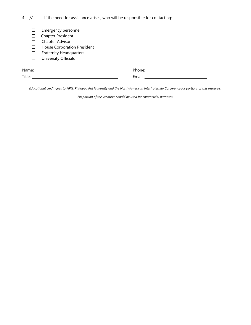4 // If the need for assistance arises, who will be responsible for contacting:

- ☐ Emergency personnel
- ☐ Chapter President
- □ Chapter Advisor
- ☐ House Corporation President
- ☐ Fraternity Headquarters
- ☐ University Officials

| Name.  | Dhanai<br>⋯ |
|--------|-------------|
| Title: | -…<br>.     |

*Educational credit goes to FIPG, Pi Kappa Phi Fraternity and the North-American Interfraternity Conference for portions of this resource.* 

*No portion of this resource should be used for commercial purposes.*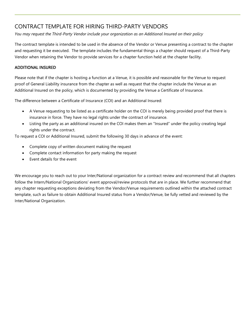## CONTRACT TEMPLATE FOR HIRING THIRD-PARTY VENDORS

*You may request the Third-Party Vendor include your organization as an Additional Insured on their policy*

The contract template is intended to be used in the absence of the Vendor or Venue presenting a contract to the chapter and requesting it be executed. The template includes the fundamental things a chapter should request of a Third-Party Vendor when retaining the Vendor to provide services for a chapter function held at the chapter facility.

### ADDITIONAL INSURED

Please note that if the chapter is hosting a function at a Venue, it is possible and reasonable for the Venue to request proof of General Liability insurance from the chapter as well as request that the chapter include the Venue as an Additional Insured on the policy, which is documented by providing the Venue a Certificate of Insurance.

The difference between a Certificate of Insurance (COI) and an Additional Insured:

- A Venue requesting to be listed as a certificate holder on the COI is merely being provided proof that there is insurance in force. They have no legal rights under the contract of insurance.
- Listing the party as an additional insured on the COI makes them an "Insured" under the policy creating legal rights under the contract.

To request a COI or Additional Insured, submit the following 30 days in advance of the event:

- Complete copy of written document making the request
- Complete contact information for party making the request
- Event details for the event

We encourage you to reach out to your Inter/National organization for a contract review and recommend that all chapters follow the Intern/National Organizations' event approval/review protocols that are in place. We further recommend that any chapter requesting exceptions deviating from the Vendor/Venue requirements outlined within the attached contract template, such as failure to obtain Additional Insured status from a Vendor/Venue, be fully vetted and reviewed by the Inter/National Organization.